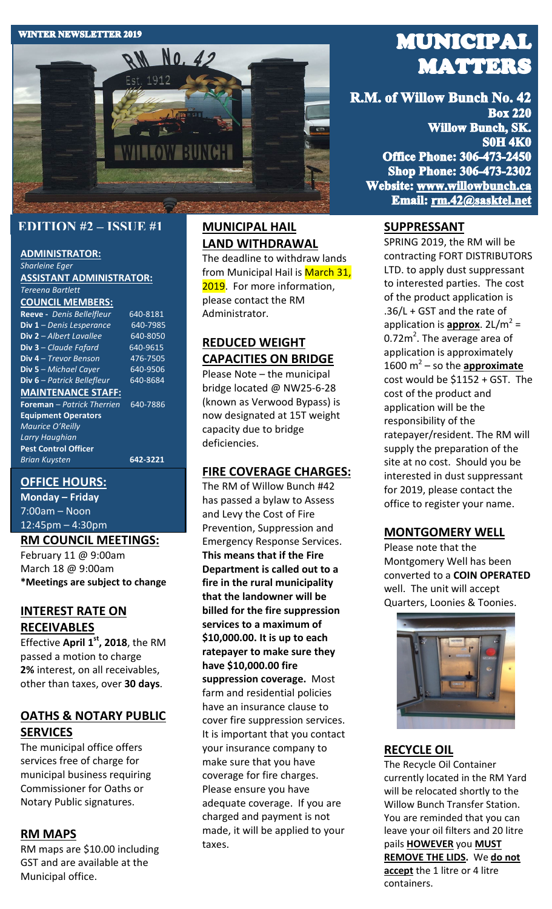#### **WINTER NEWSLETTER 2019**



## **EDITION #2 – ISSUE #1**

#### **ADMINISTRATOR:** *Sharleine Eger*

**ASSISTANT ADMINISTRATOR:** *Tereena Bartlett*

### **COUNCIL MEMBERS:**

**Reeve -** *Denis Bellelfleur* 640-8181<br>**Div 1** - *Denis Lesperance* 640-7985 **Div 1** – *Denis Lesperance* **Div 2** – *Albert Lavallee* 640-8050 **Div 3** – *Claude Fafard* 640-9615 **Div 4** – *Trevor Benson* 476-7505 **Div 5** – Michael Cayer **Div 6** – *Patrick Bellefleur* 640-8684 **MAINTENANCE STAFF: Foreman** – *Patrick Therrien* 640-7886 **Equipment Operators** 

*Maurice O'Reilly Larry Haughian* **Pest Control Officer** *Brian Kuysten* **642-3221**

## **OFFICE HOURS:**

**Monday – Friday** 7:00am – Noon 12:45pm – 4:30pm

#### **RM COUNCIL MEETINGS:**

February 11 @ 9:00am March 18 @ 9:00am **\*Meetings are subject to change**

# **INTEREST RATE ON RECEIVABLES**

Effective **April 1st, 2018**, the RM passed a motion to charge **2%** interest, on all receivables, other than taxes, over **30 days**.

# **OATHS & NOTARY PUBLIC SERVICES**

The municipal office offers services free of charge for municipal business requiring Commissioner for Oaths or Notary Public signatures.

## **RM MAPS**

RM maps are \$10.00 including GST and are available at the Municipal office.

# **MUNICIPAL HAIL LAND WITHDRAWAL**

The deadline to withdraw lands from Municipal Hail is March 31, 2019. For more information, please contact the RM Administrator.

# **REDUCED WEIGHT CAPACITIES ON BRIDGE**

Please Note – the municipal bridge located @ NW25-6-28 (known as Verwood Bypass) is now designated at 15T weight capacity due to bridge deficiencies.

## **FIRE COVERAGE CHARGES:**

The RM of Willow Bunch #42 has passed a bylaw to Assess and Levy the Cost of Fire Prevention, Suppression and Emergency Response Services. **This means that if the Fire Department is called out to a fire in the rural municipality that the landowner will be billed for the fire suppression services to a maximum of \$10,000.00. It is up to each ratepayer to make sure they have \$10,000.00 fire suppression coverage.** Most farm and residential policies have an insurance clause to cover fire suppression services. It is important that you contact your insurance company to make sure that you have coverage for fire charges. Please ensure you have adequate coverage. If you are charged and payment is not made, it will be applied to your taxes.

# **MUNICIPAL MATTERS**

R.M. of Willow Bunch No. 42 **Box 220 Willow Bunch, SK. S0H 4K0 Office Phone: 306-473-2450 Shop Phone: 306-473-2302** Website: www.willowbunch.ca Email: rm.42@sasktel.net

## **SUPPRESSANT**

SPRING 2019, the RM will be contracting FORT DISTRIBUTORS LTD. to apply dust suppressant to interested parties. The cost of the product application is .36/L + GST and the rate of application is **approx**. 2L/m<sup>2</sup> = 0.72 $m^2$ . The average area of application is approximately 1600  $m^2$  – so the **approximate** cost would be \$1152 + GST. The cost of the product and application will be the responsibility of the ratepayer/resident. The RM will supply the preparation of the site at no cost. Should you be interested in dust suppressant for 2019, please contact the office to register your name.

## **MONTGOMERY WELL**

Please note that the Montgomery Well has been converted to a **COIN OPERATED**  well. The unit will accept Quarters, Loonies & Toonies.



## **RECYCLE OIL**

The Recycle Oil Container currently located in the RM Yard will be relocated shortly to the Willow Bunch Transfer Station. You are reminded that you can leave your oil filters and 20 litre pails **HOWEVER** you **MUST REMOVE THE LIDS.** We **do not accept** the 1 litre or 4 litre containers.